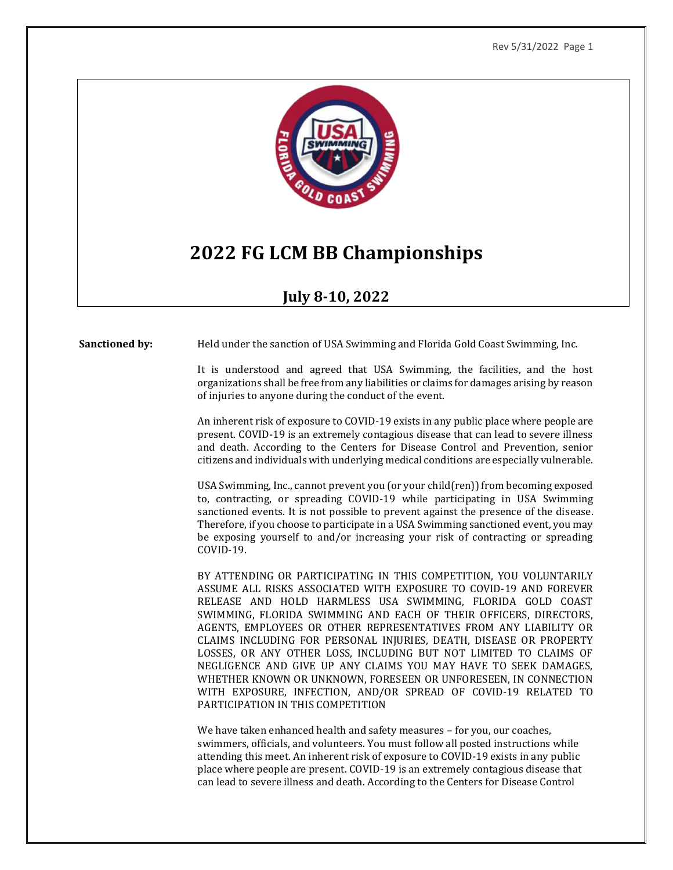

# **2022 FG LCM BB Championships**

# **July 8-10, 2022**

**Sanctioned by:** Held under the sanction of USA Swimming and Florida Gold Coast Swimming, Inc.

It is understood and agreed that USA Swimming, the facilities, and the host organizations shall be free from any liabilities or claims for damages arising by reason of injuries to anyone during the conduct of the event.

An inherent risk of exposure to COVID-19 exists in any public place where people are present. COVID-19 is an extremely contagious disease that can lead to severe illness and death. According to the Centers for Disease Control and Prevention, senior citizens and individuals with underlying medical conditions are especially vulnerable.

USA Swimming, Inc., cannot prevent you (or your child(ren)) from becoming exposed to, contracting, or spreading COVID-19 while participating in USA Swimming sanctioned events. It is not possible to prevent against the presence of the disease. Therefore, if you choose to participate in a USA Swimming sanctioned event, you may be exposing yourself to and/or increasing your risk of contracting or spreading COVID-19.

BY ATTENDING OR PARTICIPATING IN THIS COMPETITION, YOU VOLUNTARILY ASSUME ALL RISKS ASSOCIATED WITH EXPOSURE TO COVID-19 AND FOREVER RELEASE AND HOLD HARMLESS USA SWIMMING, FLORIDA GOLD COAST SWIMMING, FLORIDA SWIMMING AND EACH OF THEIR OFFICERS, DIRECTORS, AGENTS, EMPLOYEES OR OTHER REPRESENTATIVES FROM ANY LIABILITY OR CLAIMS INCLUDING FOR PERSONAL INJURIES, DEATH, DISEASE OR PROPERTY LOSSES, OR ANY OTHER LOSS, INCLUDING BUT NOT LIMITED TO CLAIMS OF NEGLIGENCE AND GIVE UP ANY CLAIMS YOU MAY HAVE TO SEEK DAMAGES, WHETHER KNOWN OR UNKNOWN, FORESEEN OR UNFORESEEN, IN CONNECTION WITH EXPOSURE, INFECTION, AND/OR SPREAD OF COVID-19 RELATED TO PARTICIPATION IN THIS COMPETITION

We have taken enhanced health and safety measures - for you, our coaches, swimmers, officials, and volunteers. You must follow all posted instructions while attending this meet. An inherent risk of exposure to COVID-19 exists in any public place where people are present. COVID-19 is an extremely contagious disease that can lead to severe illness and death. According to the Centers for Disease Control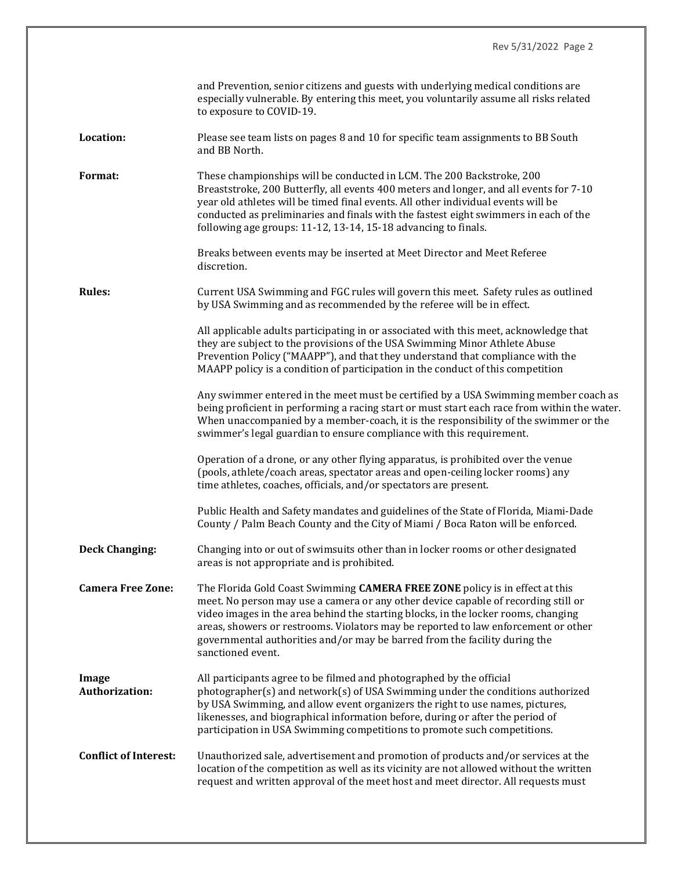|                              | and Prevention, senior citizens and guests with underlying medical conditions are<br>especially vulnerable. By entering this meet, you voluntarily assume all risks related<br>to exposure to COVID-19.                                                                                                                                                                                                                                           |
|------------------------------|---------------------------------------------------------------------------------------------------------------------------------------------------------------------------------------------------------------------------------------------------------------------------------------------------------------------------------------------------------------------------------------------------------------------------------------------------|
| Location:                    | Please see team lists on pages 8 and 10 for specific team assignments to BB South<br>and BB North.                                                                                                                                                                                                                                                                                                                                                |
| Format:                      | These championships will be conducted in LCM. The 200 Backstroke, 200<br>Breaststroke, 200 Butterfly, all events 400 meters and longer, and all events for 7-10<br>year old athletes will be timed final events. All other individual events will be<br>conducted as preliminaries and finals with the fastest eight swimmers in each of the<br>following age groups: 11-12, 13-14, 15-18 advancing to finals.                                    |
|                              | Breaks between events may be inserted at Meet Director and Meet Referee<br>discretion.                                                                                                                                                                                                                                                                                                                                                            |
| <b>Rules:</b>                | Current USA Swimming and FGC rules will govern this meet. Safety rules as outlined<br>by USA Swimming and as recommended by the referee will be in effect.                                                                                                                                                                                                                                                                                        |
|                              | All applicable adults participating in or associated with this meet, acknowledge that<br>they are subject to the provisions of the USA Swimming Minor Athlete Abuse<br>Prevention Policy ("MAAPP"), and that they understand that compliance with the<br>MAAPP policy is a condition of participation in the conduct of this competition                                                                                                          |
|                              | Any swimmer entered in the meet must be certified by a USA Swimming member coach as<br>being proficient in performing a racing start or must start each race from within the water.<br>When unaccompanied by a member-coach, it is the responsibility of the swimmer or the<br>swimmer's legal guardian to ensure compliance with this requirement.                                                                                               |
|                              | Operation of a drone, or any other flying apparatus, is prohibited over the venue<br>(pools, athlete/coach areas, spectator areas and open-ceiling locker rooms) any<br>time athletes, coaches, officials, and/or spectators are present.                                                                                                                                                                                                         |
|                              | Public Health and Safety mandates and guidelines of the State of Florida, Miami-Dade<br>County / Palm Beach County and the City of Miami / Boca Raton will be enforced.                                                                                                                                                                                                                                                                           |
| <b>Deck Changing:</b>        | Changing into or out of swimsuits other than in locker rooms or other designated<br>areas is not appropriate and is prohibited.                                                                                                                                                                                                                                                                                                                   |
| <b>Camera Free Zone:</b>     | The Florida Gold Coast Swimming CAMERA FREE ZONE policy is in effect at this<br>meet. No person may use a camera or any other device capable of recording still or<br>video images in the area behind the starting blocks, in the locker rooms, changing<br>areas, showers or restrooms. Violators may be reported to law enforcement or other<br>governmental authorities and/or may be barred from the facility during the<br>sanctioned event. |
| Image<br>Authorization:      | All participants agree to be filmed and photographed by the official<br>photographer(s) and network(s) of USA Swimming under the conditions authorized<br>by USA Swimming, and allow event organizers the right to use names, pictures,<br>likenesses, and biographical information before, during or after the period of<br>participation in USA Swimming competitions to promote such competitions.                                             |
| <b>Conflict of Interest:</b> | Unauthorized sale, advertisement and promotion of products and/or services at the<br>location of the competition as well as its vicinity are not allowed without the written<br>request and written approval of the meet host and meet director. All requests must                                                                                                                                                                                |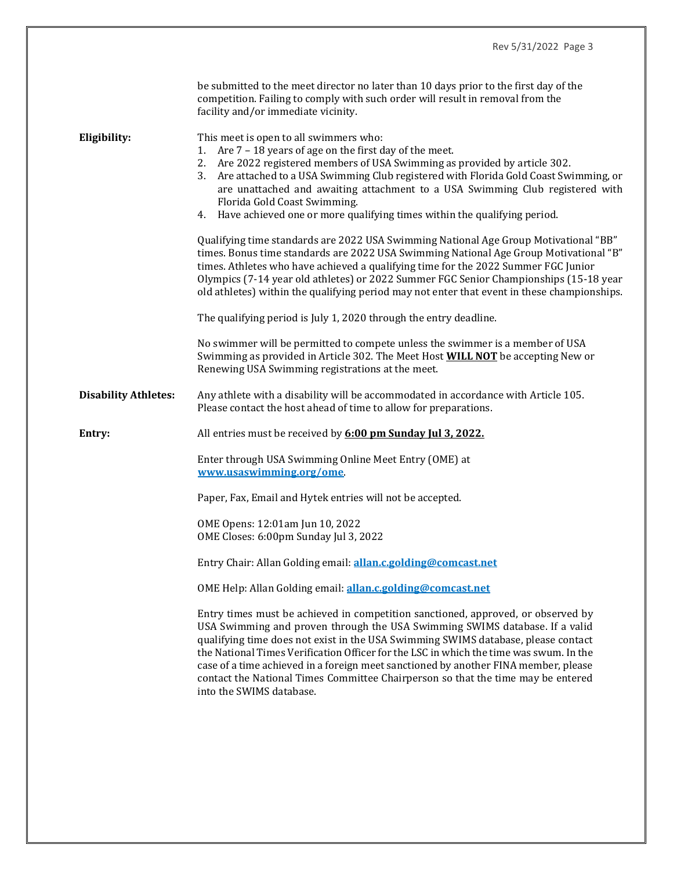|                             | be submitted to the meet director no later than 10 days prior to the first day of the<br>competition. Failing to comply with such order will result in removal from the<br>facility and/or immediate vicinity.                                                                                                                                                                                                                                                                                                                                        |  |  |  |  |
|-----------------------------|-------------------------------------------------------------------------------------------------------------------------------------------------------------------------------------------------------------------------------------------------------------------------------------------------------------------------------------------------------------------------------------------------------------------------------------------------------------------------------------------------------------------------------------------------------|--|--|--|--|
| Eligibility:                | This meet is open to all swimmers who:<br>Are 7 - 18 years of age on the first day of the meet.<br>1.<br>2. Are 2022 registered members of USA Swimming as provided by article 302.<br>Are attached to a USA Swimming Club registered with Florida Gold Coast Swimming, or<br>3.<br>are unattached and awaiting attachment to a USA Swimming Club registered with<br>Florida Gold Coast Swimming.<br>4. Have achieved one or more qualifying times within the qualifying period.                                                                      |  |  |  |  |
|                             | Qualifying time standards are 2022 USA Swimming National Age Group Motivational "BB"<br>times. Bonus time standards are 2022 USA Swimming National Age Group Motivational "B"<br>times. Athletes who have achieved a qualifying time for the 2022 Summer FGC Junior<br>Olympics (7-14 year old athletes) or 2022 Summer FGC Senior Championships (15-18 year<br>old athletes) within the qualifying period may not enter that event in these championships.                                                                                           |  |  |  |  |
|                             | The qualifying period is July 1, 2020 through the entry deadline.                                                                                                                                                                                                                                                                                                                                                                                                                                                                                     |  |  |  |  |
|                             | No swimmer will be permitted to compete unless the swimmer is a member of USA<br>Swimming as provided in Article 302. The Meet Host <b>WILL NOT</b> be accepting New or<br>Renewing USA Swimming registrations at the meet.                                                                                                                                                                                                                                                                                                                           |  |  |  |  |
| <b>Disability Athletes:</b> | Any athlete with a disability will be accommodated in accordance with Article 105.<br>Please contact the host ahead of time to allow for preparations.                                                                                                                                                                                                                                                                                                                                                                                                |  |  |  |  |
| Entry:                      | All entries must be received by 6:00 pm Sunday Jul 3, 2022.                                                                                                                                                                                                                                                                                                                                                                                                                                                                                           |  |  |  |  |
|                             | Enter through USA Swimming Online Meet Entry (OME) at<br>www.usaswimming.org/ome                                                                                                                                                                                                                                                                                                                                                                                                                                                                      |  |  |  |  |
|                             | Paper, Fax, Email and Hytek entries will not be accepted.                                                                                                                                                                                                                                                                                                                                                                                                                                                                                             |  |  |  |  |
|                             | OME Opens: 12:01am Jun 10, 2022<br>OME Closes: 6:00pm Sunday Jul 3, 2022                                                                                                                                                                                                                                                                                                                                                                                                                                                                              |  |  |  |  |
|                             | Entry Chair: Allan Golding email: allan.c.golding@comcast.net                                                                                                                                                                                                                                                                                                                                                                                                                                                                                         |  |  |  |  |
|                             | OME Help: Allan Golding email: allan.c.golding@comcast.net                                                                                                                                                                                                                                                                                                                                                                                                                                                                                            |  |  |  |  |
|                             | Entry times must be achieved in competition sanctioned, approved, or observed by<br>USA Swimming and proven through the USA Swimming SWIMS database. If a valid<br>qualifying time does not exist in the USA Swimming SWIMS database, please contact<br>the National Times Verification Officer for the LSC in which the time was swum. In the<br>case of a time achieved in a foreign meet sanctioned by another FINA member, please<br>contact the National Times Committee Chairperson so that the time may be entered<br>into the SWIMS database. |  |  |  |  |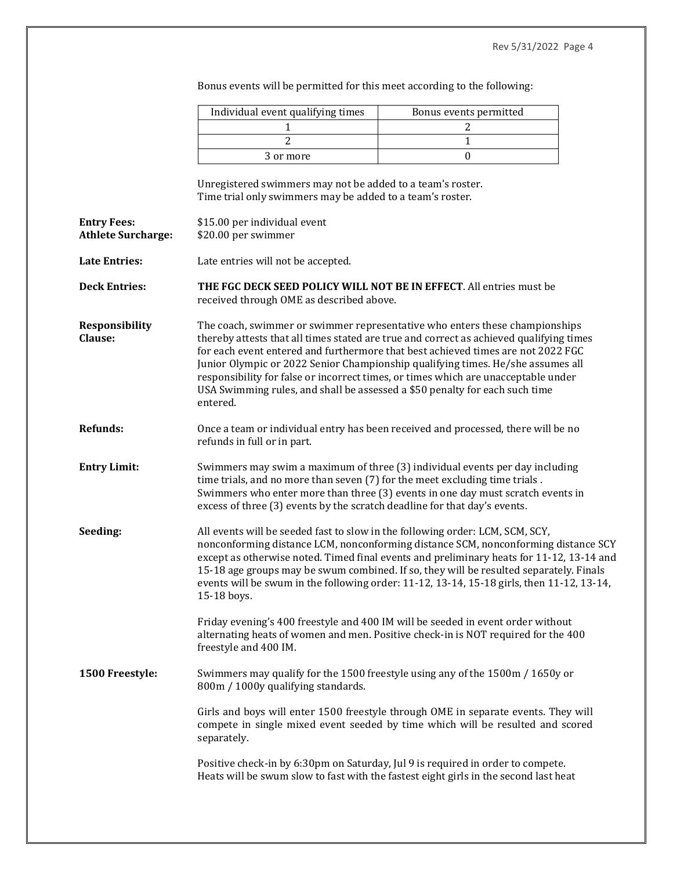|                                                 | Individual event qualifying times                                                                                                                                                                                                                                                                                           | Bonus events permitted                                                                                                                                                                                                                                                                                                                                                                                                              |  |  |  |  |  |  |
|-------------------------------------------------|-----------------------------------------------------------------------------------------------------------------------------------------------------------------------------------------------------------------------------------------------------------------------------------------------------------------------------|-------------------------------------------------------------------------------------------------------------------------------------------------------------------------------------------------------------------------------------------------------------------------------------------------------------------------------------------------------------------------------------------------------------------------------------|--|--|--|--|--|--|
|                                                 | 1                                                                                                                                                                                                                                                                                                                           | 2                                                                                                                                                                                                                                                                                                                                                                                                                                   |  |  |  |  |  |  |
|                                                 | $\overline{2}$                                                                                                                                                                                                                                                                                                              | $\mathbf{1}$                                                                                                                                                                                                                                                                                                                                                                                                                        |  |  |  |  |  |  |
|                                                 | 3 or more                                                                                                                                                                                                                                                                                                                   | $\boldsymbol{0}$                                                                                                                                                                                                                                                                                                                                                                                                                    |  |  |  |  |  |  |
|                                                 | Unregistered swimmers may not be added to a team's roster.<br>Time trial only swimmers may be added to a team's roster.                                                                                                                                                                                                     |                                                                                                                                                                                                                                                                                                                                                                                                                                     |  |  |  |  |  |  |
| <b>Entry Fees:</b><br><b>Athlete Surcharge:</b> | \$15.00 per individual event<br>\$20.00 per swimmer                                                                                                                                                                                                                                                                         |                                                                                                                                                                                                                                                                                                                                                                                                                                     |  |  |  |  |  |  |
| <b>Late Entries:</b>                            | Late entries will not be accepted.                                                                                                                                                                                                                                                                                          |                                                                                                                                                                                                                                                                                                                                                                                                                                     |  |  |  |  |  |  |
| <b>Deck Entries:</b>                            | THE FGC DECK SEED POLICY WILL NOT BE IN EFFECT. All entries must be<br>received through OME as described above.                                                                                                                                                                                                             |                                                                                                                                                                                                                                                                                                                                                                                                                                     |  |  |  |  |  |  |
| <b>Responsibility</b><br>Clause:                | USA Swimming rules, and shall be assessed a \$50 penalty for each such time<br>entered.                                                                                                                                                                                                                                     | The coach, swimmer or swimmer representative who enters these championships<br>thereby attests that all times stated are true and correct as achieved qualifying times<br>for each event entered and furthermore that best achieved times are not 2022 FGC<br>Junior Olympic or 2022 Senior Championship qualifying times. He/she assumes all<br>responsibility for false or incorrect times, or times which are unacceptable under |  |  |  |  |  |  |
| <b>Refunds:</b>                                 | refunds in full or in part.                                                                                                                                                                                                                                                                                                 | Once a team or individual entry has been received and processed, there will be no                                                                                                                                                                                                                                                                                                                                                   |  |  |  |  |  |  |
| <b>Entry Limit:</b>                             | Swimmers may swim a maximum of three (3) individual events per day including<br>time trials, and no more than seven (7) for the meet excluding time trials.<br>Swimmers who enter more than three (3) events in one day must scratch events in<br>excess of three (3) events by the scratch deadline for that day's events. |                                                                                                                                                                                                                                                                                                                                                                                                                                     |  |  |  |  |  |  |
| Seeding:                                        | All events will be seeded fast to slow in the following order: LCM, SCM, SCY,<br>15-18 boys.                                                                                                                                                                                                                                | nonconforming distance LCM, nonconforming distance SCM, nonconforming distance SCY<br>except as otherwise noted. Timed final events and preliminary heats for 11-12, 13-14 and<br>15-18 age groups may be swum combined. If so, they will be resulted separately. Finals<br>events will be swum in the following order: 11-12, 13-14, 15-18 girls, then 11-12, 13-14,                                                               |  |  |  |  |  |  |
|                                                 | freestyle and 400 IM.                                                                                                                                                                                                                                                                                                       | Friday evening's 400 freestyle and 400 IM will be seeded in event order without<br>alternating heats of women and men. Positive check-in is NOT required for the 400                                                                                                                                                                                                                                                                |  |  |  |  |  |  |
| 1500 Freestyle:                                 | 800m / 1000y qualifying standards.                                                                                                                                                                                                                                                                                          | Swimmers may qualify for the 1500 freestyle using any of the 1500m / 1650y or                                                                                                                                                                                                                                                                                                                                                       |  |  |  |  |  |  |
|                                                 | separately.                                                                                                                                                                                                                                                                                                                 | Girls and boys will enter 1500 freestyle through OME in separate events. They will<br>compete in single mixed event seeded by time which will be resulted and scored                                                                                                                                                                                                                                                                |  |  |  |  |  |  |
|                                                 |                                                                                                                                                                                                                                                                                                                             | Positive check-in by 6:30pm on Saturday, Jul 9 is required in order to compete.<br>Heats will be swum slow to fast with the fastest eight girls in the second last heat                                                                                                                                                                                                                                                             |  |  |  |  |  |  |

Bonus events will be permitted for this meet according to the following: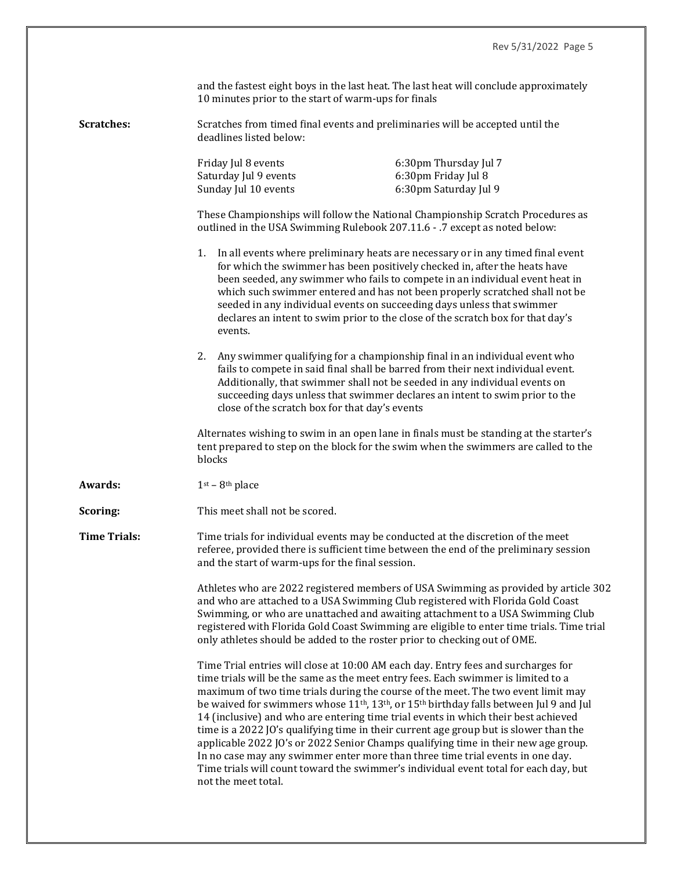| and the fastest eight boys in the last heat. The last heat will conclude approximately |
|----------------------------------------------------------------------------------------|
| 10 minutes prior to the start of warm-ups for finals                                   |

**Scratches:** Scratches from timed final events and preliminaries will be accepted until the deadlines listed below:

| Friday Jul 8 events   | 6:30pm Thursday Jul 7 |
|-----------------------|-----------------------|
| Saturday Jul 9 events | 6:30pm Friday Jul 8   |
| Sunday Jul 10 events  | 6:30pm Saturday Jul 9 |

These Championships will follow the National Championship Scratch Procedures as outlined in the USA Swimming Rulebook 207.11.6 - .7 except as noted below:

- 1. In all events where preliminary heats are necessary or in any timed final event for which the swimmer has been positively checked in, after the heats have been seeded, any swimmer who fails to compete in an individual event heat in which such swimmer entered and has not been properly scratched shall not be seeded in any individual events on succeeding days unless that swimmer declares an intent to swim prior to the close of the scratch box for that day's events.
- 2. Any swimmer qualifying for a championship final in an individual event who fails to compete in said final shall be barred from their next individual event. Additionally, that swimmer shall not be seeded in any individual events on succeeding days unless that swimmer declares an intent to swim prior to the close of the scratch box for that day's events

Alternates wishing to swim in an open lane in finals must be standing at the starter's tent prepared to step on the block for the swim when the swimmers are called to the blocks

- **Awards:** 1<sup>st</sup> 8<sup>th</sup> place
- **Scoring:** This meet shall not be scored.
- **Time Trials:** Time trials for individual events may be conducted at the discretion of the meet referee, provided there is sufficient time between the end of the preliminary session and the start of warm-ups for the final session.

Athletes who are 2022 registered members of USA Swimming as provided by article 302 and who are attached to a USA Swimming Club registered with Florida Gold Coast Swimming, or who are unattached and awaiting attachment to a USA Swimming Club registered with Florida Gold Coast Swimming are eligible to enter time trials. Time trial only athletes should be added to the roster prior to checking out of OME.

Time Trial entries will close at 10:00 AM each day. Entry fees and surcharges for time trials will be the same as the meet entry fees. Each swimmer is limited to a maximum of two time trials during the course of the meet. The two event limit may be waived for swimmers whose  $11<sup>th</sup>$ ,  $13<sup>th</sup>$ , or  $15<sup>th</sup>$  birthday falls between Jul 9 and Jul 14 (inclusive) and who are entering time trial events in which their best achieved time is a 2022 JO's qualifying time in their current age group but is slower than the applicable 2022 JO's or 2022 Senior Champs qualifying time in their new age group. In no case may any swimmer enter more than three time trial events in one day. Time trials will count toward the swimmer's individual event total for each day, but not the meet total.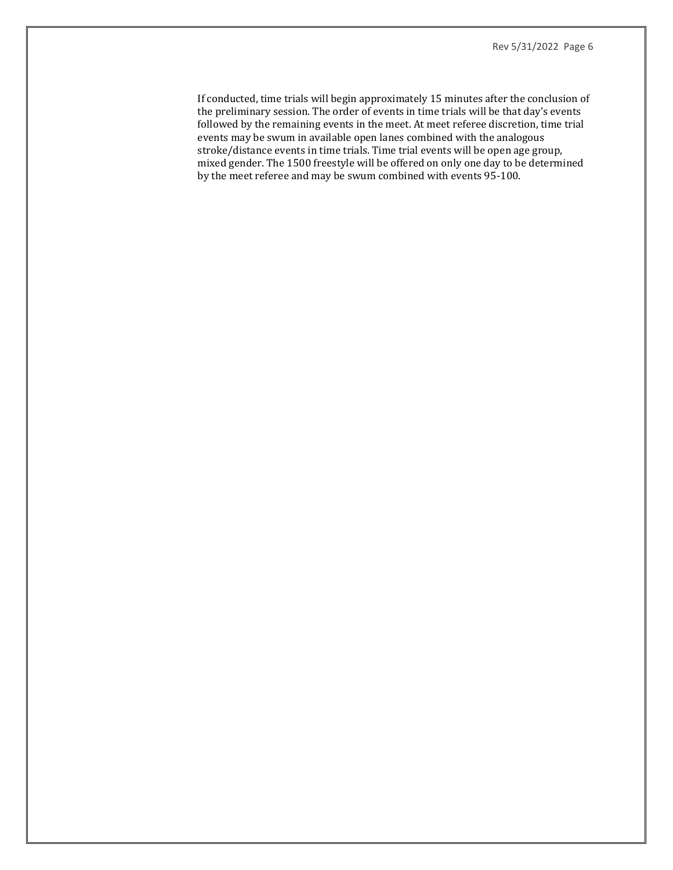If conducted, time trials will begin approximately 15 minutes after the conclusion of the preliminary session. The order of events in time trials will be that day's events followed by the remaining events in the meet. At meet referee discretion, time trial events may be swum in available open lanes combined with the analogous stroke/distance events in time trials. Time trial events will be open age group, mixed gender. The 1500 freestyle will be offered on only one day to be determined by the meet referee and may be swum combined with events 95-100.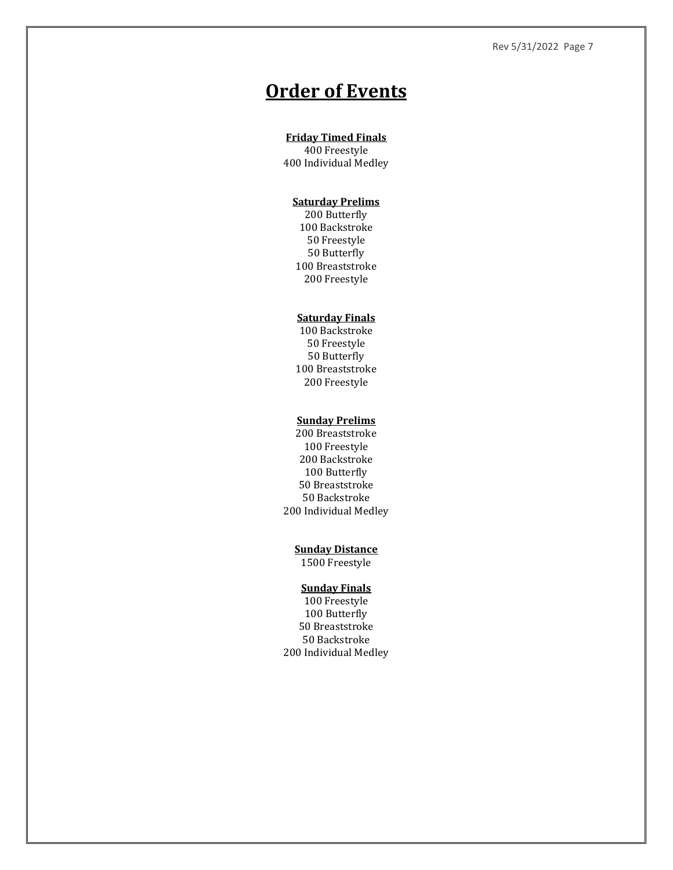# **Order of Events**

### **Friday Timed Finals**

400 Freestyle 400 Individual Medley

## **Saturday Prelims**

200 Butterfly 100 Backstroke 50 Freestyle 50 Butterfly 100 Breaststroke 200 Freestyle

### **Saturday Finals**

100 Backstroke 50 Freestyle 50 Butterfly 100 Breaststroke 200 Freestyle

#### **Sunday Prelims**

200 Breaststroke 100 Freestyle 200 Backstroke 100 Butterfly 50 Breaststroke 50 Backstroke 200 Individual Medley

#### **Sunday Distance**

1500 Freestyle

### **Sunday Finals**

100 Freestyle 100 Butterfly 50 Breaststroke 50 Backstroke 200 Individual Medley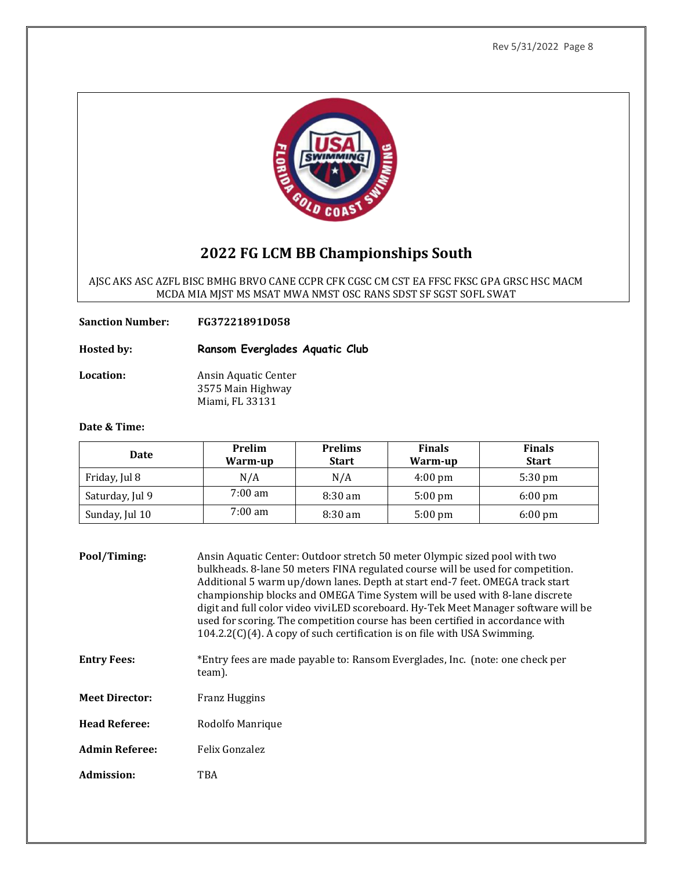

# **2022 FG LCM BB Championships South**

AJSC AKS ASC AZFL BISC BMHG BRVO CANE CCPR CFK CGSC CM CST EA FFSC FKSC GPA GRSC HSC MACM MCDA MIA MJST MS MSAT MWA NMST OSC RANS SDST SF SGST SOFL SWAT

**Sanction Number: FG37221891D058**

**Hosted by: Ransom Everglades Aquatic Club**

**Location:** Ansin Aquatic Center 3575 Main Highway Miami, FL 33131

### **Date & Time:**

| Date            | <b>Prelim</b><br>Warm-up | <b>Prelims</b><br><b>Start</b> | <b>Finals</b><br>Warm-up | <b>Finals</b><br><b>Start</b> |
|-----------------|--------------------------|--------------------------------|--------------------------|-------------------------------|
| Friday, Jul 8   | N/A                      | N/A                            | $4:00 \text{ pm}$        | $5:30 \text{ pm}$             |
| Saturday, Jul 9 | $7:00 \text{ am}$        | $8:30 \text{ am}$              | $5:00 \text{ pm}$        | $6:00 \text{ pm}$             |
| Sunday, Jul 10  | $7:00 \text{ am}$        | $8:30 \text{ am}$              | $5:00 \text{ pm}$        | $6:00 \text{ pm}$             |

| Pool/Timing:          | Ansin Aquatic Center: Outdoor stretch 50 meter Olympic sized pool with two<br>bulkheads. 8-lane 50 meters FINA regulated course will be used for competition.<br>Additional 5 warm up/down lanes. Depth at start end-7 feet. OMEGA track start<br>championship blocks and OMEGA Time System will be used with 8-lane discrete<br>digit and full color video viviLED scoreboard. Hy-Tek Meet Manager software will be<br>used for scoring. The competition course has been certified in accordance with<br>104.2.2(C)(4). A copy of such certification is on file with USA Swimming. |
|-----------------------|-------------------------------------------------------------------------------------------------------------------------------------------------------------------------------------------------------------------------------------------------------------------------------------------------------------------------------------------------------------------------------------------------------------------------------------------------------------------------------------------------------------------------------------------------------------------------------------|
| <b>Entry Fees:</b>    | *Entry fees are made payable to: Ransom Everglades, Inc. (note: one check per<br>team).                                                                                                                                                                                                                                                                                                                                                                                                                                                                                             |
| <b>Meet Director:</b> | Franz Huggins                                                                                                                                                                                                                                                                                                                                                                                                                                                                                                                                                                       |
| <b>Head Referee:</b>  | Rodolfo Manrique                                                                                                                                                                                                                                                                                                                                                                                                                                                                                                                                                                    |
| <b>Admin Referee:</b> | Felix Gonzalez                                                                                                                                                                                                                                                                                                                                                                                                                                                                                                                                                                      |
| Admission:            | TBA                                                                                                                                                                                                                                                                                                                                                                                                                                                                                                                                                                                 |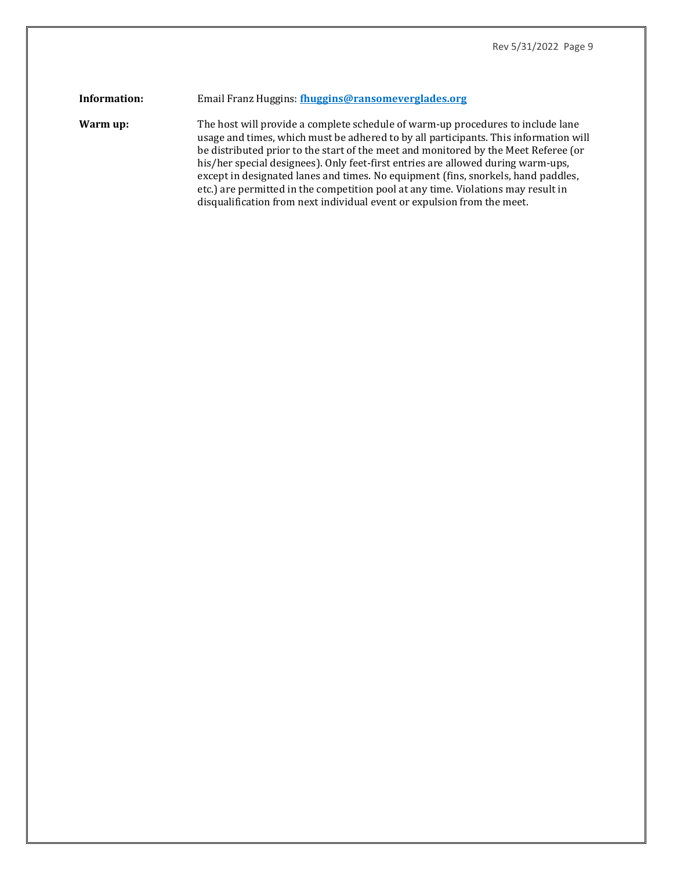## **Information:** Email Franz Huggins: **[fhuggins@ransomeverglades.org](mailto:fhuggins@ransomeverglades.org)**

**Warm up:** The host will provide a complete schedule of warm-up procedures to include lane usage and times, which must be adhered to by all participants. This information will be distributed prior to the start of the meet and monitored by the Meet Referee (or his/her special designees). Only feet-first entries are allowed during warm-ups, except in designated lanes and times. No equipment (fins, snorkels, hand paddles, etc.) are permitted in the competition pool at any time. Violations may result in disqualification from next individual event or expulsion from the meet.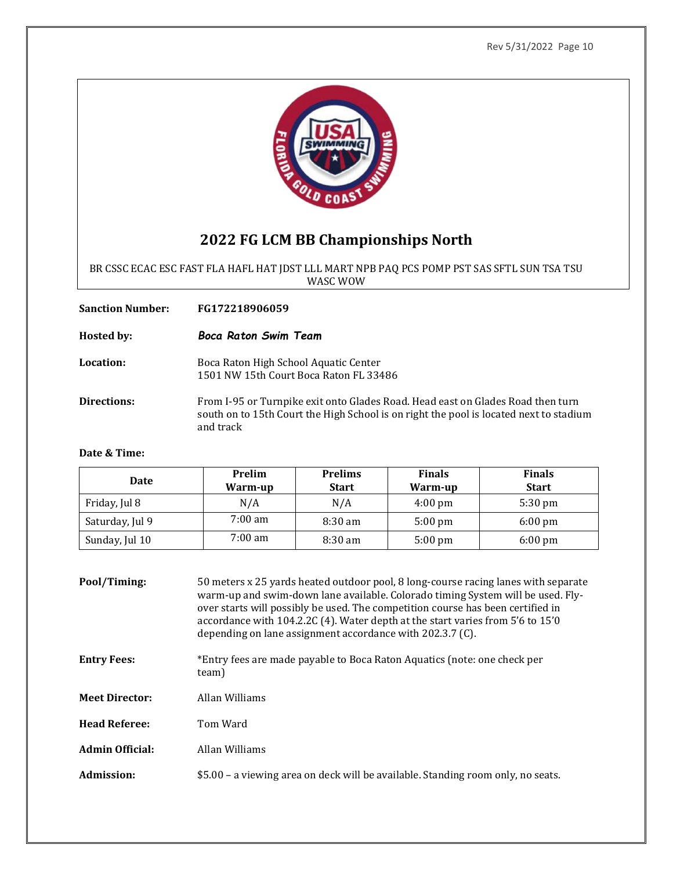

# **2022 FG LCM BB Championships North**

BR CSSC ECAC ESC FAST FLA HAFL HAT JDST LLL MART NPB PAQ PCS POMP PST SAS SFTL SUN TSA TSU WASC WOW

**Sanction Number: FG172218906059 Hosted by:** *Boca Raton Swim Team* **Location:** Boca Raton High School Aquatic Center 1501 NW 15th Court Boca Raton FL 33486 **Directions:** From I-95 or Turnpike exit onto Glades Road. Head east on Glades Road then turn south on to 15th Court the High School is on right the pool is located next to stadium and track

## **Date & Time:**

| Date            | Prelim<br>Warm-up | <b>Prelims</b><br><b>Start</b> | <b>Finals</b><br>Warm-up | <b>Finals</b><br><b>Start</b> |
|-----------------|-------------------|--------------------------------|--------------------------|-------------------------------|
| Friday, Jul 8   | N/A               | N/A                            | $4:00 \text{ pm}$        | $5:30 \text{ pm}$             |
| Saturday, Jul 9 | $7:00 \text{ am}$ | $8:30 \text{ am}$              | $5:00 \text{ pm}$        | $6:00 \text{ pm}$             |
| Sunday, Jul 10  | 7:00 am           | $8:30 \text{ am}$              | $5:00 \text{ pm}$        | $6:00 \text{ pm}$             |

| Pool/Timing:           | 50 meters x 25 yards heated outdoor pool, 8 long-course racing lanes with separate<br>warm-up and swim-down lane available. Colorado timing System will be used. Fly-<br>over starts will possibly be used. The competition course has been certified in<br>accordance with 104.2.2C (4). Water depth at the start varies from 5'6 to 15'0<br>depending on lane assignment accordance with 202.3.7 (C). |
|------------------------|---------------------------------------------------------------------------------------------------------------------------------------------------------------------------------------------------------------------------------------------------------------------------------------------------------------------------------------------------------------------------------------------------------|
| <b>Entry Fees:</b>     | *Entry fees are made payable to Boca Raton Aquatics (note: one check per<br>team)                                                                                                                                                                                                                                                                                                                       |
| <b>Meet Director:</b>  | Allan Williams                                                                                                                                                                                                                                                                                                                                                                                          |
| <b>Head Referee:</b>   | Tom Ward                                                                                                                                                                                                                                                                                                                                                                                                |
| <b>Admin Official:</b> | Allan Williams                                                                                                                                                                                                                                                                                                                                                                                          |
| Admission:             | \$5.00 - a viewing area on deck will be available. Standing room only, no seats.                                                                                                                                                                                                                                                                                                                        |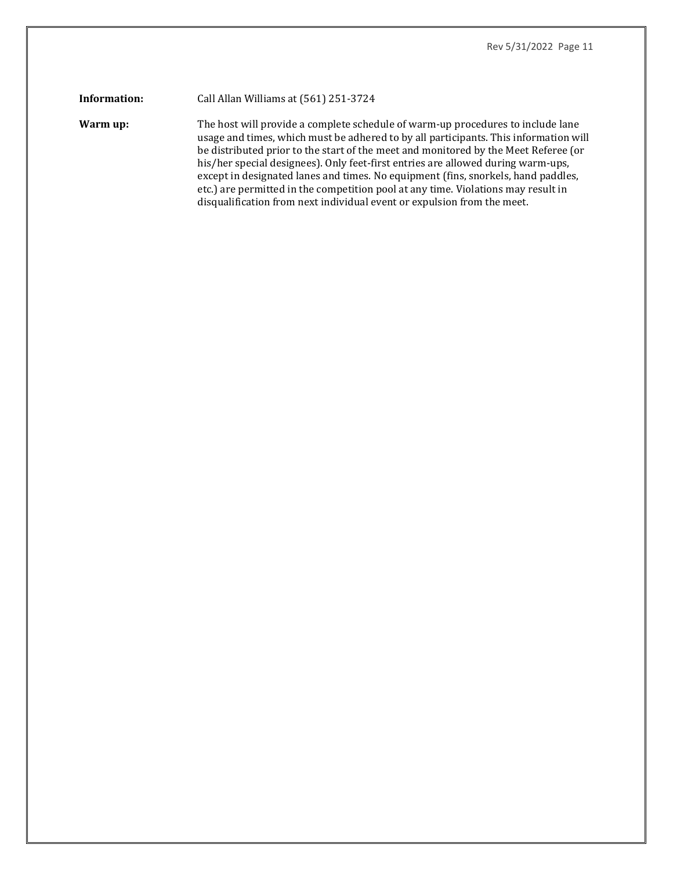#### **Information:** Call Allan Williams at (561) 251-3724

**Warm up:** The host will provide a complete schedule of warm-up procedures to include lane usage and times, which must be adhered to by all participants. This information will be distributed prior to the start of the meet and monitored by the Meet Referee (or his/her special designees). Only feet-first entries are allowed during warm-ups, except in designated lanes and times. No equipment (fins, snorkels, hand paddles, etc.) are permitted in the competition pool at any time. Violations may result in disqualification from next individual event or expulsion from the meet.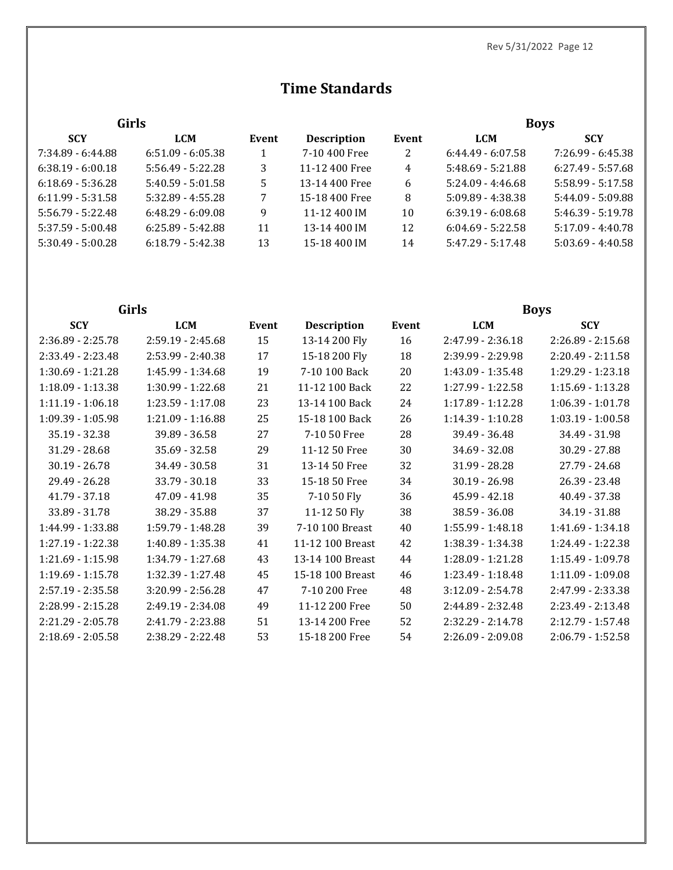# **Time Standards**

| <b>Girls</b>        |                     |       |                    |       | <b>Boys</b>         |                     |  |
|---------------------|---------------------|-------|--------------------|-------|---------------------|---------------------|--|
| <b>SCY</b>          | <b>LCM</b>          | Event | <b>Description</b> | Event | <b>LCM</b>          | <b>SCY</b>          |  |
| 7:34.89 - 6:44.88   | $6:51.09 - 6:05.38$ |       | 7-10 400 Free      | 2     | $6:44.49 - 6:07.58$ | $7:26.99 - 6:45.38$ |  |
| $6:38.19 - 6:00.18$ | $5:56.49 - 5:22.28$ | 3     | 11-12 400 Free     | 4     | $5:48.69 - 5:21.88$ | $6:27.49 - 5:57.68$ |  |
| $6:18.69 - 5:36.28$ | $5:40.59 - 5:01.58$ | 5     | 13-14 400 Free     | 6     | $5:24.09 - 4:46.68$ | $5:58.99 - 5:17.58$ |  |
| $6:11.99 - 5:31.58$ | $5:32.89 - 4:55.28$ | 7     | 15-18 400 Free     | 8     | $5:09.89 - 4:38.38$ | $5:44.09 - 5:09.88$ |  |
| $5:56.79 - 5:22.48$ | $6:48.29 - 6:09.08$ | 9     | 11-12 400 IM       | 10    | $6:39.19 - 6:08.68$ | $5:46.39 - 5:19.78$ |  |
| $5:37.59 - 5:00.48$ | $6:25.89 - 5:42.88$ | 11    | 13-14 400 IM       | 12    | $6:04.69 - 5:22.58$ | $5:17.09 - 4:40.78$ |  |
| $5:30.49 - 5:00.28$ | $6:18.79 - 5:42.38$ | 13    | 15-18 400 IM       | 14    | $5:47.29 - 5:17.48$ | $5:03.69 - 4:40.58$ |  |

| <b>Girls</b>        |                     |       |                    |       | <b>Boys</b>       |                     |  |
|---------------------|---------------------|-------|--------------------|-------|-------------------|---------------------|--|
| <b>SCY</b>          | <b>LCM</b>          | Event | <b>Description</b> | Event | <b>LCM</b>        | <b>SCY</b>          |  |
| 2:36.89 - 2:25.78   | 2:59.19 - 2:45.68   | 15    | 13-14 200 Fly      | 16    | 2:47.99 - 2:36.18 | $2:26.89 - 2:15.68$ |  |
| 2:33.49 - 2:23.48   | 2:53.99 - 2:40.38   | 17    | 15-18 200 Fly      | 18    | 2:39.99 - 2:29.98 | $2:20.49 - 2:11.58$ |  |
| 1:30.69 - 1:21.28   | 1:45.99 - 1:34.68   | 19    | 7-10 100 Back      | 20    | 1:43.09 - 1:35.48 | 1:29.29 - 1:23.18   |  |
| 1:18.09 - 1:13.38   | 1:30.99 - 1:22.68   | 21    | 11-12 100 Back     | 22    | 1:27.99 - 1:22.58 | $1:15.69 - 1:13.28$ |  |
| $1:11.19 - 1:06.18$ | 1:23.59 - 1:17.08   | 23    | 13-14 100 Back     | 24    | 1:17.89 - 1:12.28 | $1:06.39 - 1:01.78$ |  |
| 1:09.39 - 1:05.98   | 1:21.09 - 1:16.88   | 25    | 15-18 100 Back     | 26    | 1:14.39 - 1:10.28 | $1:03.19 - 1:00.58$ |  |
| 35.19 - 32.38       | 39.89 - 36.58       | 27    | 7-10 50 Free       | 28    | 39.49 - 36.48     | 34.49 - 31.98       |  |
| 31.29 - 28.68       | 35.69 - 32.58       | 29    | 11-12 50 Free      | 30    | 34.69 - 32.08     | 30.29 - 27.88       |  |
| $30.19 - 26.78$     | 34.49 - 30.58       | 31    | 13-14 50 Free      | 32    | 31.99 - 28.28     | 27.79 - 24.68       |  |
| 29.49 - 26.28       | 33.79 - 30.18       | 33    | 15-18 50 Free      | 34    | $30.19 - 26.98$   | 26.39 - 23.48       |  |
| 41.79 - 37.18       | 47.09 - 41.98       | 35    | 7-10 50 Fly        | 36    | 45.99 - 42.18     | 40.49 - 37.38       |  |
| 33.89 - 31.78       | 38.29 - 35.88       | 37    | 11-12 50 Fly       | 38    | 38.59 - 36.08     | 34.19 - 31.88       |  |
| 1:44.99 - 1:33.88   | 1:59.79 - 1:48.28   | 39    | 7-10 100 Breast    | 40    | 1:55.99 - 1:48.18 | 1:41.69 - 1:34.18   |  |
| 1:27.19 - 1:22.38   | 1:40.89 - 1:35.38   | 41    | 11-12 100 Breast   | 42    | 1:38.39 - 1:34.38 | 1:24.49 - 1:22.38   |  |
| $1:21.69 - 1:15.98$ | 1:34.79 - 1:27.68   | 43    | 13-14 100 Breast   | 44    | 1:28.09 - 1:21.28 | 1:15.49 - 1:09.78   |  |
| 1:19.69 - 1:15.78   | 1:32.39 - 1:27.48   | 45    | 15-18 100 Breast   | 46    | 1:23.49 - 1:18.48 | $1:11.09 - 1:09.08$ |  |
| 2:57.19 - 2:35.58   | $3:20.99 - 2:56.28$ | 47    | 7-10 200 Free      | 48    | 3:12.09 - 2:54.78 | 2:47.99 - 2:33.38   |  |
| 2:28.99 - 2:15.28   | 2:49.19 - 2:34.08   | 49    | 11-12 200 Free     | 50    | 2:44.89 - 2:32.48 | 2:23.49 - 2:13.48   |  |
| 2:21.29 - 2:05.78   | 2:41.79 - 2:23.88   | 51    | 13-14 200 Free     | 52    | 2:32.29 - 2:14.78 | 2:12.79 - 1:57.48   |  |
| 2:18.69 - 2:05.58   | 2:38.29 - 2:22.48   | 53    | 15-18 200 Free     | 54    | 2:26.09 - 2:09.08 | $2:06.79 - 1:52.58$ |  |